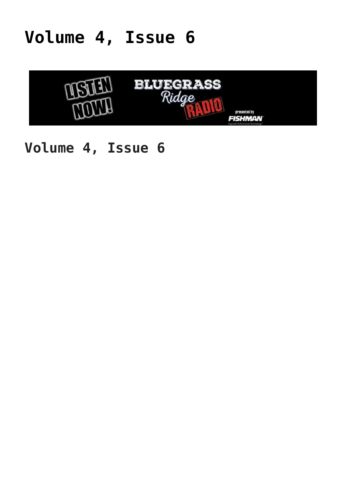### **[Volume 4, Issue 6](https://thebluegrassstandard.com/volume-4-issue-6/)**



#### **Volume 4, Issue 6**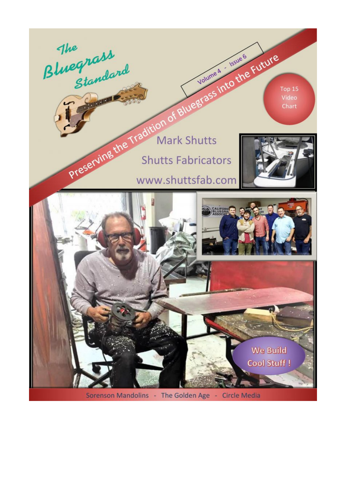

Sorenson Mandolins - The Golden Age - Circle Media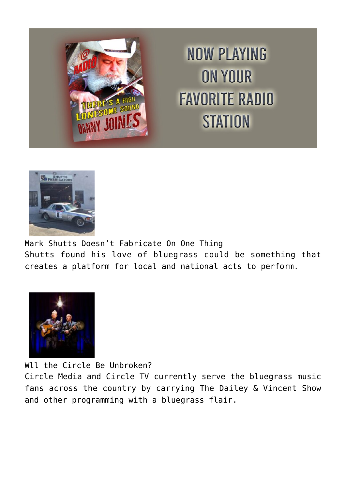

## **NOW PLAYING ON YOUR FAVORITE RADIO STATION**



Mark Shutts Doesn't Fabricate On One Thing Shutts found his love of bluegrass could be something that creates a platform for local and national acts to perform.



Wll the Circle Be Unbroken?

Circle Media and Circle TV currently serve the bluegrass music fans across the country by carrying The Dailey & Vincent Show and other programming with a bluegrass flair.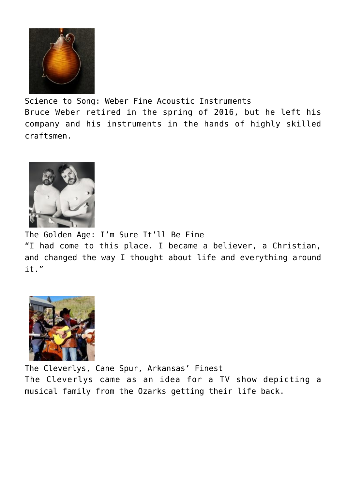

Science to Song: Weber Fine Acoustic Instruments Bruce Weber retired in the spring of 2016, but he left his company and his instruments in the hands of highly skilled craftsmen.



The Golden Age: I'm Sure It'll Be Fine "I had come to this place. I became a believer, a Christian, and changed the way I thought about life and everything around it."



The Cleverlys, Cane Spur, Arkansas' Finest The Cleverlys came as an idea for a TV show depicting a musical family from the Ozarks getting their life back.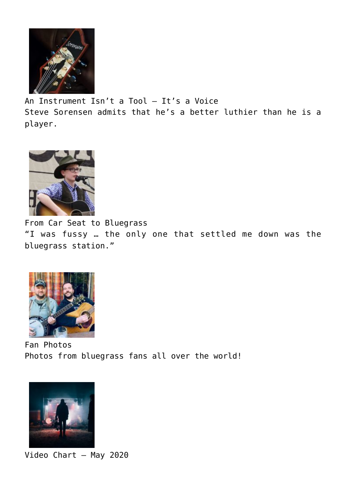

An Instrument Isn't a Tool — It's a Voice Steve Sorensen admits that he's a better luthier than he is a player.



From Car Seat to Bluegrass "I was fussy … the only one that settled me down was the bluegrass station."



Fan Photos Photos from bluegrass fans all over the world!



Video Chart – May 2020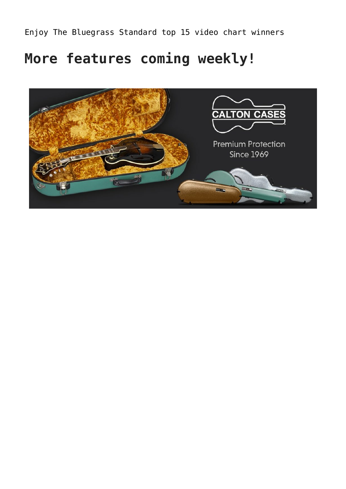Enjoy The Bluegrass Standard top 15 video chart winners

#### **More features coming weekly!**

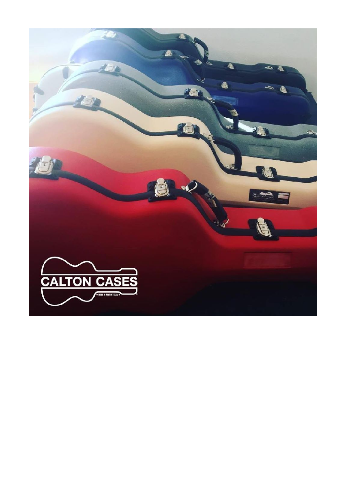